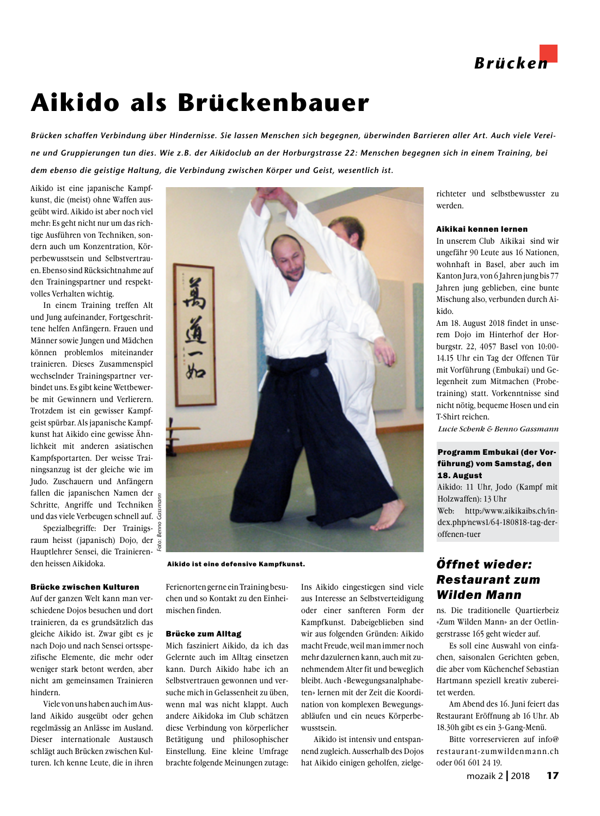

# **Aikido als Brückenbauer**

*Brücken schaffen Verbindung über Hindernisse. Sie lassen Menschen sich begegnen, überwinden Barrieren aller Art. Auch viele Vereine und Gruppierungen tun dies. Wie z.B. der Aikidoclub an der Horburgstrasse 22: Menschen begegnen sich in einem Training, bei dem ebenso die geistige Haltung, die Verbindung zwischen Körper und Geist, wesentlich ist.* 

Aikido ist eine japanische Kampfkunst, die (meist) ohne Waffen ausgeübt wird. Aikido ist aber noch viel mehr: Es geht nicht nur um das richtige Ausführen von Techniken, sondern auch um Konzentration, Körperbewusstsein und Selbstvertrauen. Ebenso sind Rücksichtnahme auf den Trainingspartner und respektvolles Verhalten wichtig.

In einem Training treffen Alt und Jung aufeinander, Fortgeschrittene helfen Anfängern. Frauen und Männer sowie Jungen und Mädchen können problemlos miteinander trainieren. Dieses Zusammenspiel wechselnder Trainingspartner verbindet uns. Es gibt keine Wettbewerbe mit Gewinnern und Verlierern. Trotzdem ist ein gewisser Kampfgeist spürbar. Als japanische Kampfkunst hat Aikido eine gewisse Ähnlichkeit mit anderen asiatischen Kampfsportarten. Der weisse Trainingsanzug ist der gleiche wie im Judo. Zuschauern und Anfängern fallen die japanischen Namen der Schritte, Angriffe und Techniken und das viele Verbeugen schnell auf.

*Foto: Benno Gassmann* Spezialbegriffe: Der Trainigsraum heisst (japanisch) Dojo, der Hauptlehrer Sensei, die Trainierenden heissen Aikidoka.

#### Brücke zwischen Kulturen

Auf der ganzen Welt kann man verschiedene Dojos besuchen und dort trainieren, da es grundsätzlich das gleiche Aikido ist. Zwar gibt es je nach Dojo und nach Sensei ortsspezifische Elemente, die mehr oder weniger stark betont werden, aber nicht am gemeinsamen Trainieren hindern.

Viele von uns haben auch im Ausland Aikido ausgeübt oder gehen regelmässig an Anlässe im Ausland. Dieser internationale Austausch schlägt auch Brücken zwischen Kulturen. Ich kenne Leute, die in ihren



Aikido ist eine defensive Kampfkunst.

Ferienorten gerne ein Training besuchen und so Kontakt zu den Einheimischen finden.

### Brücke zum Alltag

Mich fasziniert Aikido, da ich das Gelernte auch im Alltag einsetzen kann. Durch Aikido habe ich an Selbstvertrauen gewonnen und versuche mich in Gelassenheit zu üben, wenn mal was nicht klappt. Auch andere Aikidoka im Club schätzen diese Verbindung von körperlicher Betätigung und philosophischer Einstellung. Eine kleine Umfrage brachte folgende Meinungen zutage:

Ins Aikido eingestiegen sind viele aus Interesse an Selbstverteidigung oder einer sanfteren Form der Kampfkunst. Dabeigeblieben sind wir aus folgenden Gründen: Aikido macht Freude, weil man immer noch mehr dazulernen kann, auch mit zunehmendem Alter fit und beweglich bleibt. Auch «Bewegungsanalphabeten» lernen mit der Zeit die Koordination von komplexen Bewegungsabläufen und ein neues Körperbewusstsein.

Aikido ist intensiv und entspannend zugleich. Ausserhalb des Dojos hat Aikido einigen geholfen, zielgerichteter und selbstbewusster zu werden.

## Aikikai kennen lernen

In unserem Club Aikikai sind wir ungefähr 90 Leute aus 16 Nationen, wohnhaft in Basel, aber auch im Kanton Jura, von 6 Jahren jung bis 77 Jahren jung geblieben, eine bunte Mischung also, verbunden durch Aikido.

Am 18. August 2018 findet in unserem Dojo im Hinterhof der Horburgstr. 22, 4057 Basel von 10:00- 14.15 Uhr ein Tag der Offenen Tür mit Vorführung (Embukai) und Gelegenheit zum Mitmachen (Probetraining) statt. Vorkenntnisse sind nicht nötig, bequeme Hosen und ein T-Shirt reichen.

 *Lucie Schenk & Benno Gassmann*

## Programm Embukai (der Vorführung) vom Samstag, den 18. August

Aikido: 11 Uhr, Jodo (Kampf mit Holzwaffen): 13 Uhr Web: http://www.aikikaibs.ch/index.php/news1/64-180818-tag-deroffenen-tuer

## *Öffnet wieder: Restaurant zum Wilden Mann*

ns. Die traditionelle Quartierbeiz «Zum Wilden Mann» an der Oetlingerstrasse 165 geht wieder auf.

Es soll eine Auswahl von einfachen, saisonalen Gerichten geben, die aber vom Küchenchef Sebastian Hartmann speziell kreativ zubereitet werden.

Am Abend des 16. Juni feiert das Restaurant Eröffnung ab 16 Uhr. Ab 18.30h gibt es ein 3-Gang-Menü.

Bitte vorreservieren auf info@ restaurant-zumwildenmann.ch oder 061 601 24 19.